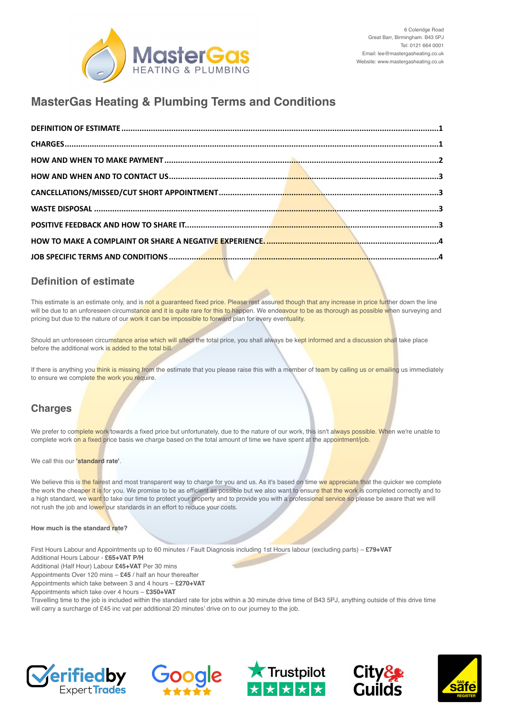

# **MasterGas Heating & Plumbing Terms and Conditions**

#### <span id="page-0-0"></span>**Definition of estimate**

This estimate is an estimate only, and is not a guaranteed fixed price. Please rest assured though that any increase in price further down the line will be due to an unforeseen circumstance and it is quite rare for this to happen. We endeavour to be as thorough as possible when surveying and pricing but due to the nature of our work it can be impossible to forward plan for every eventuality.

Should an unforeseen circumstance arise which will affect the total price, you shall always be kept informed and a discussion shall take place before the additional work is added to the total bill.

If there is anything you think is missing from the estimate that you please raise this with a member of team by calling us or emailing us immediately to ensure we complete the work you require.

# <span id="page-0-1"></span>**Charges**

We prefer to complete work towards a fixed price but unfortunately, due to the nature of our work, this isn't always possible. When we're unable to complete work on a fixed price basis we charge based on the total amount of time we have spent at the appointment/job.

We call this our **'standard rate'**.

We believe this is the fairest and most transparent way to charge for you and us. As it's based on time we appreciate that the quicker we complete the work the cheaper it is for you. We promise to be as efficient as possible but we also want to ensure that the work is completed correctly and to a high standard, we want to take our time to protect your property and to provide you with a professional service so please be aware that we will not rush the job and lower our standards in an effort to reduce your costs.

#### **How much is the standard rate?**

First Hours Labour and Appointments up to 60 minutes / Fault Diagnosis including 1st Hours labour (excluding parts) – **£79+VAT**

Additional Hours Labour - **£65+VAT P/H**

Additional (Half Hour) Labour **£45+VAT** Per 30 mins

Appointments Over 120 mins – **£45** / half an hour thereafter

Appointments which take between 3 and 4 hours – **£270+VAT**

Appointments which take over 4 hours – **£350+VAT**

Travelling time to the job is included within the standard rate for jobs within a 30 minute drive time of B43 5PJ, anything outside of this drive time will carry a surcharge of £45 inc vat per additional 20 minutes' drive on to our journey to the job.









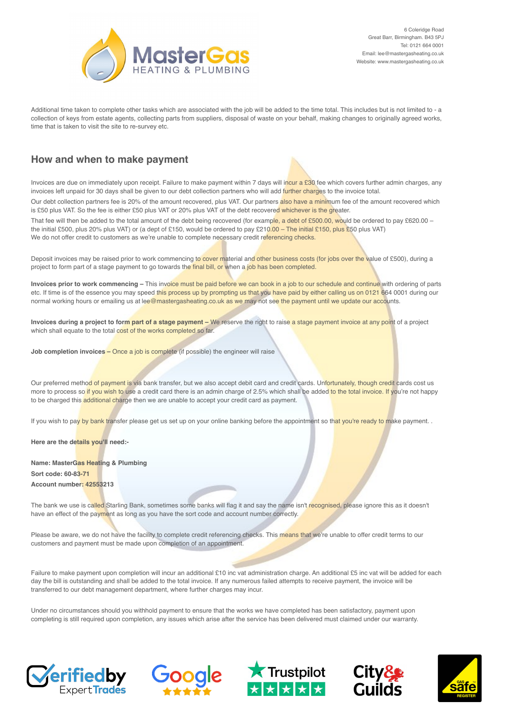

Additional time taken to complete other tasks which are associated with the job will be added to the time total. This includes but is not limited to - a collection of keys from estate agents, collecting parts from suppliers, disposal of waste on your behalf, making changes to originally agreed works, time that is taken to visit the site to re-survey etc.

### <span id="page-1-0"></span>**How and when to make payment**

Invoices are due on immediately upon receipt. Failure to make payment within 7 days will incur a £30 fee which covers further admin charges, any invoices left unpaid for 30 days shall be given to our debt collection partners who will add further charges to the invoice total.

Our debt collection partners fee is 20% of the amount recovered, plus VAT. Our partners also have a minimum fee of the amount recovered which is £50 plus VAT. So the fee is either £50 plus VAT or 20% plus VAT of the debt recovered whichever is the greater.

That fee will then be added to the total amount of the debt being recovered (for example, a debt of £500.00, would be ordered to pay £620.00 – the initial £500, plus 20% plus VAT) or (a dept of £150, would be ordered to pay £210.00 – The initial £150, plus £50 plus VAT) We do not offer credit to customers as we're unable to complete necessary credit referencing checks.

Deposit invoices may be raised prior to work commencing to cover material and other business costs (for jobs over the value of £500), during a project to form part of a stage payment to go towards the final bill, or when a job has been completed.

**Invoices prior to work commencing –** This invoice must be paid before we can book in a job to our schedule and continue with ordering of parts etc. If time is of the essence you may speed this process up by prompting us that you have paid by either calling us on 0121 664 0001 during our normal working hours or emailing us at lee@mastergasheating.co.uk as we may not see the payment until we update our accounts.

**Invoices during a project to form part of a stage payment –** We reserve the right to raise a stage payment invoice at any point of a project which shall equate to the total cost of the works completed so far.

**Job completion invoices - Once a job is complete (if possible) the engineer will raise** 

Our preferred method of payment is via bank transfer, but we also accept debit card and credit cards. Unfortunately, though credit cards cost us more to process so if you wish to use a credit card there is an admin charge of 2.5% which shall be added to the total invoice. If you're not happy to be charged this additional charge then we are unable to accept your credit card as payment.

If you wish to pay by bank transfer please get us set up on your online banking before the appointment so that you're ready to make payment. .

**Here are the details you'll need:-**

**Name: MasterGas Heating & Plumbing Sort code: 60-83-71 Account number: 42553213** 

The bank we use is called Starling Bank, sometimes some banks will flag it and say the name isn't recognised, please ignore this as it doesn't have an effect of the payment as long as you have the sort code and account number correctly.

Please be aware, we do not have the facility to complete credit referencing checks. This means that we're unable to offer credit terms to our customers and payment must be made upon completion of an appointment.

Failure to make payment upon completion will incur an additional £10 inc vat administration charge. An additional £5 inc vat will be added for each day the bill is outstanding and shall be added to the total invoice. If any numerous failed attempts to receive payment, the invoice will be transferred to our debt management department, where further charges may incur.

Under no circumstances should you withhold payment to ensure that the works we have completed has been satisfactory, payment upon completing is still required upon completion, any issues which arise after the service has been delivered must claimed under our warranty.









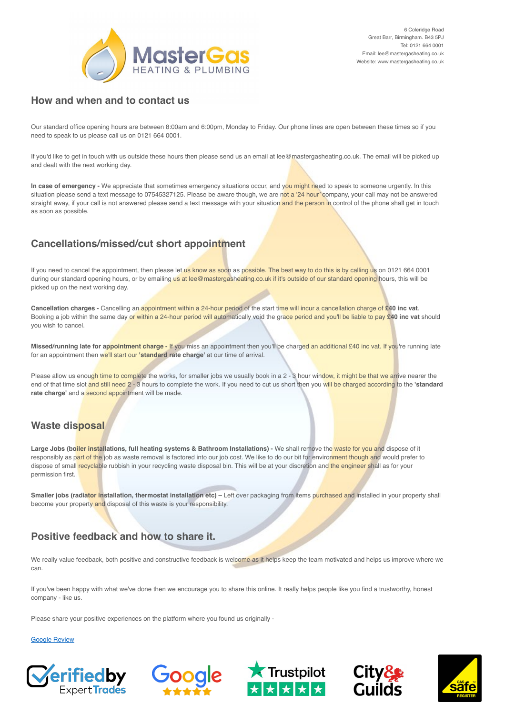

#### <span id="page-2-0"></span>**How and when and to contact us**

Our standard office opening hours are between 8:00am and 6:00pm, Monday to Friday. Our phone lines are open between these times so if you need to speak to us please call us on 0121 664 0001.

If you'd like to get in touch with us outside these hours then please send us an email at lee@mastergasheating.co.uk. The email will be picked up and dealt with the next working day.

**In case of emergency -** We appreciate that sometimes emergency situations occur, and you might need to speak to someone urgently. In this situation please send a text message to 07545327125. Please be aware though, we are not a '24 hour' company, your call may not be answered straight away, if your call is not answered please send a text message with your situation and the person in control of the phone shall get in touch as soon as possible.

# <span id="page-2-1"></span>**Cancellations/missed/cut short appointment**

If you need to cancel the appointment, then please let us know as soon as possible. The best way to do this is by calling us on 0121 664 0001 during our standard opening hours, or by emailing us at lee@mastergasheating.co.uk if it's outside of our standard opening hours, this will be picked up on the next working day.

**Cancellation charges -** Cancelling an appointment within a 24-hour period of the start time will incur a cancellation charge of **£40 inc vat**. Booking a job within the same day or within a 24-hour period will automatically void the grace period and you'll be liable to pay **£40 inc vat** should you wish to cancel.

**Missed/running late for appointment charge -** If you miss an appointment then you'll be charged an additional £40 inc vat. If you're running late for an appointment then we'll start our **'standard rate charge'** at our time of arrival.

Please allow us enough time to complete the works, for smaller jobs we usually book in a 2 - 3 hour window, it might be that we arrive nearer the end of that time slot and still need 2 - 3 hours to complete the work. If you need to cut us short then you will be charged according to the **'standard**  rate charge' and a second appointment will be made.

# <span id="page-2-2"></span>**Waste disposal**

Large Jobs (boiler installations, full heating systems & Bathroom Installations) - We shall remove the waste for you and dispose of it responsibly as part of the job as waste removal is factored into our job cost. We like to do our bit for environment though and would prefer to dispose of small recyclable rubbish in your recycling waste disposal bin. This will be at your discretion and the engineer shall as for your permission first.

**Smaller jobs (radiator installation, thermostat installation etc)** – Left over packaging from items purchased and installed in your property shall become your property and disposal of this waste is your responsibility.

# <span id="page-2-3"></span>**Positive feedback and how to share it.**

We really value feedback, both positive and constructive feedback is welcome as it helps keep the team motivated and helps us improve where we can.

If you've been happy with what we've done then we encourage you to share this online. It really helps people like you find a trustworthy, honest company - like us.

Please share your positive experiences on the platform where you found us originally -

[Google Review](https://g.page/mastergasheat/review?rc) 







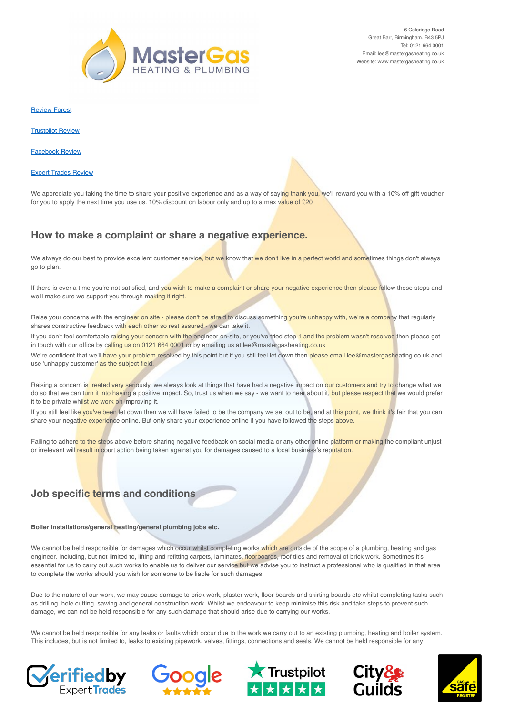

[Review Forest](https://reviewforest.org/mastergas) 

[Trustpilot Review](https://uk.trustpilot.com/evaluate/mastergasheating.co.uk) 

[Facebook Review](https://www.facebook.com/mastergasheating/reviews) 

[Expert Trades Review](https://verifiedtrades.co.uk/mastergas-heating--plumbing/leave-a-review) 

We appreciate you taking the time to share your positive experience and as a way of saying thank you, we'll reward you with a 10% off gift voucher for you to apply the next time you use us. 10% discount on labour only and up to a max value of £20

#### <span id="page-3-0"></span>**How to make a complaint or share a negative experience.**

We always do our best to provide excellent customer service, but we know that we don't live in a perfect world and sometimes things don't always go to plan.

If there is ever a time you're not satisfied, and you wish to make a complaint or share your negative experience then please follow these steps and we'll make sure we support you through making it right.

Raise your concerns with the engineer on site - please don't be afraid to discuss something you're unhappy with, we're a company that regularly shares constructive feedback with each other so rest assured - we can take it.

If you don't feel comfortable raising your concern with the engineer on-site, or you've tried step 1 and the problem wasn't resolved then please get in touch with our office by calling us on 0121 664 0001 or by emailing us at lee@mastergasheating.co.uk

We're confident that we'll have your problem resolved by this point but if you still feel let down then please email lee@mastergasheating.co.uk and use 'unhappy customer' as the subject field.

Raising a concern is treated very seriously, we always look at things that have had a negative impact on our customers and try to change what we do so that we can turn it into having a positive impact. So, trust us when we say - we want to hear about it, but please respect that we would prefer it to be private whilst we work on improving it.

If you still feel like you've been let down then we will have failed to be the company we set out to be, and at this point, we think it's fair that you can share your negative experience online. But only share your experience online if you have followed the steps above.

Failing to adhere to the steps above before sharing negative feedback on social media or any other online platform or making the compliant unjust or irrelevant will result in court action being taken against you for damages caused to a local business's reputation.

# <span id="page-3-1"></span>**Job specific terms and conditions**

**Boiler installations/general heating/general plumbing jobs etc.**

We cannot be held responsible for damages which occur whilst completing works which are outside of the scope of a plumbing, heating and gas engineer. Including, but not limited to, lifting and refitting carpets, laminates, floorboards, roof tiles and removal of brick work. Sometimes it's essential for us to carry out such works to enable us to deliver our service but we advise you to instruct a professional who is qualified in that area to complete the works should you wish for someone to be liable for such damages.

Due to the nature of our work, we may cause damage to brick work, plaster work, floor boards and skirting boards etc whilst completing tasks such as drilling, hole cutting, sawing and general construction work. Whilst we endeavour to keep minimise this risk and take steps to prevent such damage, we can not be held responsible for any such damage that should arise due to carrying our works.

We cannot be held responsible for any leaks or faults which occur due to the work we carry out to an existing plumbing, heating and boiler system. This includes, but is not limited to, leaks to existing pipework, valves, fittings, connections and seals. We cannot be held responsible for any